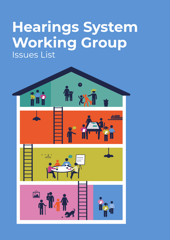# **Hearings System Working Group**  Issues List

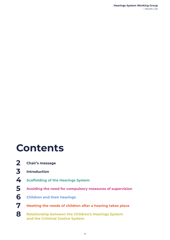### **Contents**

- **Chair's message 2**
- **Introduction 3**
- **Scaffolding of the Hearings System 4**
- **Avoiding the need for compulsory measures of supervision 5**
- **Children and their hearings 6**
- **Meeting the needs of children after a hearing takes place 7**
- **Relationship between the Children's Hearings System and the Criminal Justice System 8**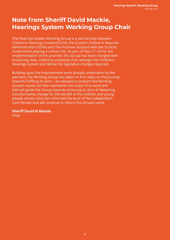### **Note from Sheriff David Mackie, Hearings System Working Group Chair**

The Hearings System Working Group is a partnership between Children's Hearings Scotland (CHS), the Scottish Children's Reporter Administration (SCRA) and The Promise Scotland with the Scottish Government playing a critical role. As part of Plan 21–24 for the implementation of the promise, this Group has been charged with producing clear, collective proposals that redesign the Children's Hearings System and define the legislative changes required.

Building upon the improvement work already undertaken by the partners, the Working Group has taken its first steps on the journey towards fulfilling its aims. I am pleased to present the Working Group's Issues List that represents the scope of its work and that will guide the Group towards achieving its aims of delivering transformative change for the benefit of the children and young people whose voice has informed the work of the Independent Care Review and will continue to inform this Group's work.

**Sheriff David N Mackie** Chair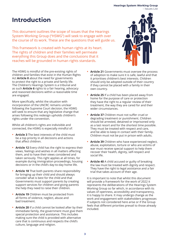#### **Hearings System Working Group**  – Issues List

### **Introduction**

This document outlines the scope of issues that the Hearings System Working Group ("HSWG") will seek to engage with over the course of its work. These are the questions that will guide us.

This framework is created with human rights at its heart. The rights of children and their families will permeate everything this Group does and the conclusions that it reaches will be grounded in human rights standards.

The HSWG is mindful of the pre-existing rights of children and families that exist in the Human Rights Act **Article 8** about the need for governments to protect the right to a private and family life. The Children's Hearings System is a tribunal and as such **Article 6** rights to a fair hearing, advocacy and reasoned decisions within a reasonable time are engaged.

More specifically, whilst the situation with incorporation of the UNCRC remains unclear following the Supreme Court decision, the HSWG will seek to ensure that any legislative change that arises following this redesign upholds children's rights under the convention.

Whilst all children's rights are indivisible and connected, the HSWG is especially mindful of:

- **• Article 3** The best interests of the child must be a top priority in all decisions and actions that affect children.
- **• Article 12** Every child has the right to express their views, feelings and wishes in all matters affecting them, and to have their views considered and taken seriously. This right applies at all times, for example during immigration proceedings, housing decisions or in the child's day-to-day home life.
- **• Article 18** That both parents share responsibility for bringing up their child and should always consider what is best for the child and that Governments must support parents by creating support services for children and giving parents the help they need to raise their children.
- **• Article 19** Children must be protected from all forms of violence, neglect, abuse and bad treatment.
- **• Article 20** If a child cannot be looked after by their immediate family, the government must give them special protection and assistance. This includes making sure the child is provided with alternative care that is continuous and respects the child's culture, language and religion.
- **• Article 21** Governments must oversee the process of adoption to make sure it is safe, lawful and that it prioritises children's best interests. Children should only be adopted outside of their country if they cannot be placed with a family in their own country.
- **• Article 25** If a child has been placed away from home for the purpose of care or protection they have the right to a regular review of their treatment, the way they are cared for and their wider circumstances.
- **• Article 37** Children must not suffer cruel or degrading treatment or punishment. Children should be arrested, detained or imprisoned only as a last resort and for the shortest time possible. They must be treated with respect and care, and be able to keep in contact with their family. Children must not be put in prison with adults.
- **• Article 39** Children who have experienced neglect, abuse, exploitation, torture or who are victims of war must receive special support to help them recover their health, dignity, self-respect and social life.
- **• Article 40** A child accused or guilty of breaking the law must be treated with dignity and respect. They have the right to legal assistance and a fair trial that takes account of their age.

It is important to note that whilst this document will provide a framework for the work of 2022 it represents the deliberations of the Hearings System Working Group so far which, in accordance with its values of openness, accessibility and transparency, it is happy to share. It may undergo change as the work and engagement with stakeholders progresses if subjects not considered here arise or if the Group feels that different priorities prevail to those already included.

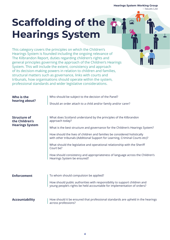**Hearings System Working Group** 

 $\mathbf{r}$ 

– Issues List

# **Scaffolding of the Hearings System**

This category covers the principles on which the Children's Hearings System is founded including the ongoing relevance of The Kilbrandon Report, duties regarding children's rights and general principles governing the approach of the Children's Hearings System. This will include the extent, consistency and approach of its decision-making powers in relation to children and families, structural matters such as governance, links with courts and tribunals, how organisations should operate within the system, professional standards and wider legislative considerations.

| Who is the<br>hearing about?                                    | Who should be subject to the decision of the Panel?<br>Should an order attach to a child and/or family and/or carer?                                                                                                                                                                                                                                                                                                                                                                                                                       |
|-----------------------------------------------------------------|--------------------------------------------------------------------------------------------------------------------------------------------------------------------------------------------------------------------------------------------------------------------------------------------------------------------------------------------------------------------------------------------------------------------------------------------------------------------------------------------------------------------------------------------|
| <b>Structure of</b><br>the Children's<br><b>Hearings System</b> | What does Scotland understand by the principles of the Kilbrandon<br>approach today?<br>What is the best structure and governance for the Children's Hearings System?<br>How should the lives of children and families be considered holistically<br>with other tribunals (Additional Support for Learning, Criminal Courts etc)?<br>What should the legislative and operational relationship with the Sheriff<br>Court be?<br>How should consistency and appropriateness of language across the Children's<br>Hearings System be ensured? |
| <b>Enforcement</b>                                              | To whom should compulsion be applied?<br>How should public authorities with responsibility to support children and<br>young people's rights be held accountable for implementation of orders?                                                                                                                                                                                                                                                                                                                                              |
| <b>Accountability</b>                                           | How should it be ensured that professional standards are upheld in the hearings<br>across professions?                                                                                                                                                                                                                                                                                                                                                                                                                                     |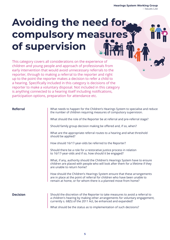## **Avoiding the need for compulsory measures of supervision**

This category covers all considerations on the experience of children and young people and approach of professionals from early intervention that would avoid unnecessary referrals to the reporter, through to making a referral to the reporter and right up to the point the reporter makes a decision to refer a child to a hearing. Specifically included in this category is decisions of the reporter to make a voluntary disposal. Not included in this category is anything connected to a hearing itself including notifications, participation options, preparation for attendance etc.

#### **Referral**

What needs to happen for the Children's Hearings System to specialise and reduce the number of children requiring measures of compulsory supervision.

What should the role of the Reporter be at referral and pre-referral stage?

Should family group decision making be offered and, if so, when?

What are the appropriate referral routes to a hearing and what threshold should be applied?

How should 16/17-year-olds be referred to the Reporter?

Should there be a role for a restorative justice process in relation to 16/17-year-olds and if so, how should it be engaged?

What, if any, authority should the Children's Hearings System have to ensure children are placed with people who will look after them for a lifetime if they are unable to return home?

How should the Children's Hearings System ensure that these arrangements are in place at the point of referral for children who have been unable to remain at home, or for whom there is a planned move from home?

#### **Decision**

Should the discretion of the Reporter to take measures to avoid a referral to a children's hearing by making other arrangements for voluntary engagement, currently s. 68(5) of the 2011 Act, be enhanced and expanded?

What should be the status as to implementation of such decisions?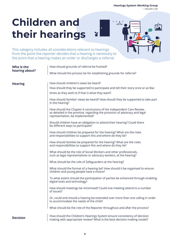**HEARING** 

## **Children and their hearings**

This category includes all considerations relevant to hearings from the point the reporter decides that a hearing is necessary to the point that a hearing makes an order or discharges a referral.

| Who is the      | How should grounds of referral be framed?                                                                                                                                            |
|-----------------|--------------------------------------------------------------------------------------------------------------------------------------------------------------------------------------|
| hearing about?  | What should the process be for establishing grounds for referral?                                                                                                                    |
| <b>Hearing</b>  | How should children's views be heard?                                                                                                                                                |
|                 | How should they be supported to participate and tell their story once or as few                                                                                                      |
|                 | times as they wish to if that is what they want?                                                                                                                                     |
|                 | How should families' views be heard? How should they be supported to take part<br>in the hearing?                                                                                    |
|                 | How should the Chapter 6 conclusions of the Independent Care Review,<br>as detailed in the promise, regarding the provision of advocacy and legal<br>representation, be implemented? |
|                 | Should children have an obligation to attend their hearing? Could there<br>be different ways to participate?                                                                         |
|                 | How should children be prepared for the hearing? What are the roles<br>and responsibilities to support this and where do they lie?                                                   |
|                 | How should families be prepared for the hearing? What are the roles<br>and responsibilities to support this and where do they lie?                                                   |
|                 | What should be the role of Social Workers and other professionals,<br>such as legal representatives or advocacy workers, at the hearing?                                             |
|                 | What should be the role of Safeguarders at the hearing?                                                                                                                              |
|                 | What should the format of a hearing be? How should it be organised to ensure<br>children and young people have a choice?                                                             |
|                 | To what extent should the participation of parties be enhanced through enabling<br>digital tools and technology?                                                                     |
|                 | How should meetings be minimised? Could one meeting attend to a number<br>of issues?                                                                                                 |
|                 | Or, could and should a hearing be extended over more than one calling in order<br>to accommodate the needs of the child?                                                             |
|                 | What should be the role of the Reporter throughout and after the process?                                                                                                            |
| <b>Decision</b> | How should the Children's Hearings System ensure consistency of decision<br>making with appropriate review? What is the best decision-making model?                                  |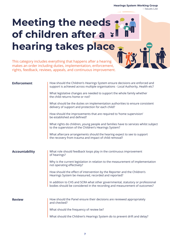### **Meeting the needs of children after a hearing takes place**

This category includes everything that happens after a hearing makes an order including duties, implementation, enforcement, rights, feedback, reviews, appeals, and continuous improvement.

| <b>Enforcement</b>    | How should the Children's Hearings System ensure decisions are enforced and<br>support is achieved across multiple organisations - Local Authority, Health etc? |
|-----------------------|-----------------------------------------------------------------------------------------------------------------------------------------------------------------|
|                       | What legislative changes are needed to support the whole family whether<br>the child returns home or not?                                                       |
|                       | What should be the duties on implementation authorities to ensure consistent<br>delivery of support and protection for each child?                              |
|                       | How should the improvements that are required to 'home supervision'<br>be established and defined?                                                              |
|                       | What rights do children, young people and families have to services whilst subject<br>to the supervision of the Children's Hearings System?                     |
|                       | What aftercare arrangements should the hearing expect to see to support<br>the recovery from trauma and impact of child removal?                                |
|                       |                                                                                                                                                                 |
| <b>Accountability</b> | What role should feedback loops play in the continuous improvement<br>of hearings?                                                                              |
|                       | Why is the current legislation in relation to the measurement of implementation<br>not operating effectively?                                                   |
|                       | How should the effect of intervention by the Reporter and the Children's<br>Hearings System be measured, recorded and reported?                                 |
|                       | In addition to CHS and SCRA what other governmental, statutory or professional<br>bodies should be considered in the recording and measurement of outcomes?     |
|                       |                                                                                                                                                                 |
| <b>Review</b>         | How should the Panel ensure their decisions are reviewed appropriately<br>and checked?                                                                          |
|                       | What should the frequency of review be?                                                                                                                         |
|                       | What should the Children's Hearings System do to prevent drift and delay?                                                                                       |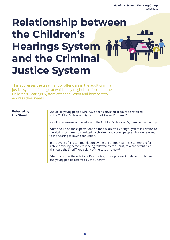### **Relationship between the Children's**   $\prime$ illiill $=$ **Hearings System and the Criminal Justice System**

This addresses the treatment of offenders in the adult criminal justice system of an age at which they might be referred to the Children's Hearings System after conviction and how best to address their needs.

#### **Referral by the Sheriff**

Should all young people who have been convicted at court be referred to the Children's Hearings System for advice and/or remit?

Should the seeking of the advice of the Children's Hearings System be mandatory?

What should be the expectations on the Children's Hearings System in relation to the victims of crimes committed by children and young people who are referred to the hearing following conviction?

In the event of a recommendation by the Children's Hearings System to refer a child or young person to it being followed by the Court, to what extent if at all should the Sheriff keep sight of the case and how?

What should be the role for a Restorative Justice process in relation to children and young people referred by the Sheriff?